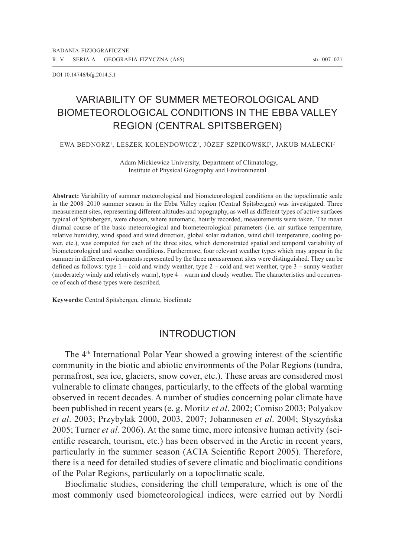DOI 10.14746/bfg.2014.5.1

# Variability of summer meteorological and biometeorological conditions in the Ebba Valley region (Central Spitsbergen)

EWA BEDNORZ', LESZEK KOLENDOWICZ', JOZEF SZPIKOWSKI?, JAKUB MAŁECKI?

<sup>1</sup> Adam Mickiewicz University, Department of Climatology, Institute of Physical Geography and Environmental

**Abstract:** Variability of summer meteorological and biometeorological conditions on the topoclimatic scale in the 2008–2010 summer season in the Ebba Valley region (Central Spitsbergen) was investigated. Three measurement sites, representing different altitudes and topography, as well as different types of active surfaces typical of Spitsbergen, were chosen, where automatic, hourly recorded, measurements were taken. The mean diurnal course of the basic meteorological and biometeorological parameters (i.e. air surface temperature, relative humidity, wind speed and wind direction, global solar radiation, wind chill temperature, cooling power, etc.), was computed for each of the three sites, which demonstrated spatial and temporal variability of biometeorological and weather conditions. Furthermore, four relevant weather types which may appear in the summer in different environments represented by the three measurement sites were distinguished. They can be defined as follows: type  $1 - \text{cold}$  and windy weather, type  $2 - \text{cold}$  and wet weather, type  $3 - \text{sunny}$  weather (moderately windy and relatively warm), type 4 – warm and cloudy weather. The characteristics and occurrence of each of these types were described.

**Keywords:** Central Spitsbergen, climate, bioclimate

### Introduction

The 4th International Polar Year showed a growing interest of the scientific community in the biotic and abiotic environments of the Polar Regions (tundra, permafrost, sea ice, glaciers, snow cover, etc.). These areas are considered most vulnerable to climate changes, particularly, to the effects of the global warming observed in recent decades. A number of studies concerning polar climate have been published in recent years (e. g. Moritz *et al*. 2002; Comiso 2003; Polyakov *et al*. 2003; Przybylak 2000, 2003, 2007; Johannesen *et al*. 2004; Styszyńska 2005; Turner *et al*. 2006). At the same time, more intensive human activity (scientific research, tourism, etc.) has been observed in the Arctic in recent years, particularly in the summer season (ACIA Scientific Report 2005). Therefore, there is a need for detailed studies of severe climatic and bioclimatic conditions of the Polar Regions, particularly on a topoclimatic scale.

Bioclimatic studies, considering the chill temperature, which is one of the most commonly used biometeorological indices, were carried out by Nordli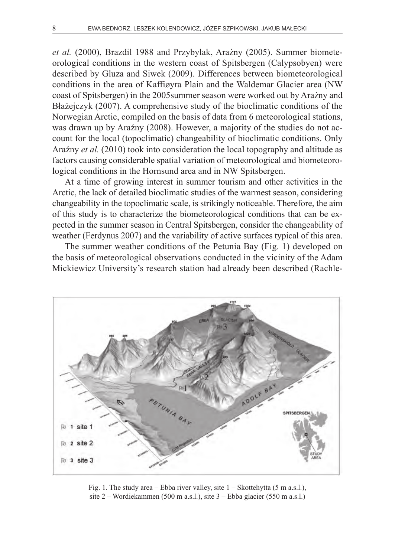*et al.* (2000), Brazdil 1988 and Przybylak, Araźny (2005). Summer biometeorological conditions in the western coast of Spitsbergen (Calypsobyen) were described by Gluza and Siwek (2009). Differences between biometeorological conditions in the area of Kaffiøyra Plain and the Waldemar Glacier area (NW coast of Spitsbergen) in the 2005summer season were worked out by Araźny and Błażejczyk (2007). A comprehensive study of the bioclimatic conditions of the Norwegian Arctic, compiled on the basis of data from 6 meteorological stations, was drawn up by Araźny (2008). However, a majority of the studies do not account for the local (topoclimatic) changeability of bioclimatic conditions. Only Araźny *et al.* (2010) took into consideration the local topography and altitude as factors causing considerable spatial variation of meteorological and biometeorological conditions in the Hornsund area and in NW Spitsbergen.

At a time of growing interest in summer tourism and other activities in the Arctic, the lack of detailed bioclimatic studies of the warmest season, considering changeability in the topoclimatic scale, is strikingly noticeable. Therefore, the aim of this study is to characterize the biometeorological conditions that can be expected in the summer season in Central Spitsbergen, consider the changeability of weather (Ferdynus 2007) and the variability of active surfaces typical of this area.

The summer weather conditions of the Petunia Bay (Fig. 1) developed on the basis of meteorological observations conducted in the vicinity of the Adam Mickiewicz University's research station had already been described (Rachle-



Fig. 1. The study area – Ebba river valley, site 1 – Skottehytta (5 m a.s.l.), site 2 – Wordiekammen (500 m a.s.l.), site 3 – Ebba glacier (550 m a.s.l.)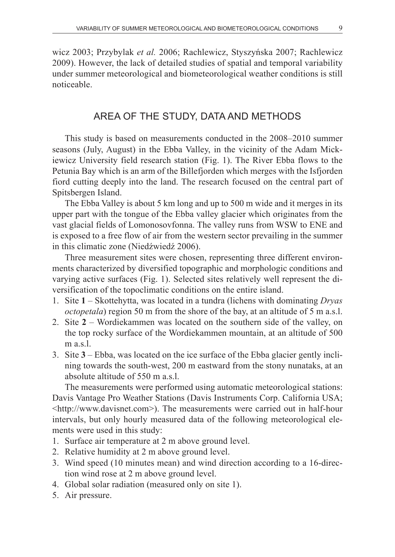wicz 2003; Przybylak *et al.* 2006; Rachlewicz, Styszyńska 2007; Rachlewicz 2009). However, the lack of detailed studies of spatial and temporal variability under summer meteorological and biometeorological weather conditions is still noticeable.

## Area of the study, data and methods

This study is based on measurements conducted in the 2008–2010 summer seasons (July, August) in the Ebba Valley, in the vicinity of the Adam Mickiewicz University field research station (Fig. 1). The River Ebba flows to the Petunia Bay which is an arm of the Billefjorden which merges with the Isfjorden fiord cutting deeply into the land. The research focused on the central part of Spitsbergen Island.

The Ebba Valley is about 5 km long and up to 500 m wide and it merges in its upper part with the tongue of the Ebba valley glacier which originates from the vast glacial fields of Lomonosovfonna. The valley runs from WSW to ENE and is exposed to a free flow of air from the western sector prevailing in the summer in this climatic zone (Niedźwiedź 2006).

Three measurement sites were chosen, representing three different environments characterized by diversified topographic and morphologic conditions and varying active surfaces (Fig. 1). Selected sites relatively well represent the diversification of the topoclimatic conditions on the entire island.

- 1. Site **1** Skottehytta, was located in a tundra (lichens with dominating *Dryas octopetala*) region 50 m from the shore of the bay, at an altitude of 5 m a.s.l.
- 2. Site **2**  Wordiekammen was located on the southern side of the valley, on the top rocky surface of the Wordiekammen mountain, at an altitude of 500 m a.s.l.
- 3. Site **3** Ebba, was located on the ice surface of the Ebba glacier gently inclining towards the south-west, 200 m eastward from the stony nunataks, at an absolute altitude of 550 m a.s.l.

The measurements were performed using automatic meteorological stations: Davis Vantage Pro Weather Stations (Davis Instruments Corp. California USA; <http://www.davisnet.com>). The measurements were carried out in half-hour intervals, but only hourly measured data of the following meteorological elements were used in this study:

- 1. Surface air temperature at 2 m above ground level.
- 2. Relative humidity at 2 m above ground level.
- 3. Wind speed (10 minutes mean) and wind direction according to a 16-direction wind rose at 2 m above ground level.
- 4. Global solar radiation (measured only on site 1).
- 5. Air pressure.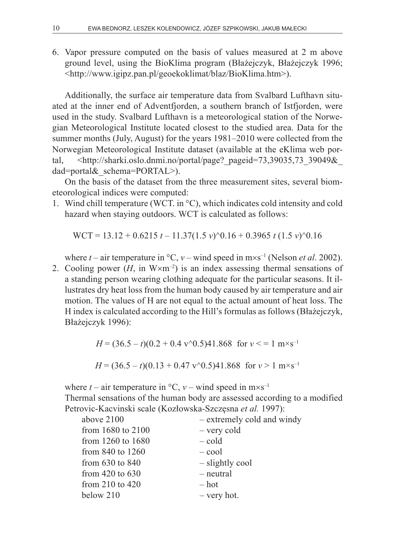6. Vapor pressure computed on the basis of values measured at 2 m above ground level, using the BioKlima program (Błażejczyk, Błażejczyk 1996; <http://www.igipz.pan.pl/geoekoklimat/blaz/BioKlima.htm>).

Additionally, the surface air temperature data from Svalbard Lufthavn situated at the inner end of Adventfjorden, a southern branch of Istfjorden, were used in the study. Svalbard Lufthavn is a meteorological station of the Norwegian Meteorological Institute located closest to the studied area. Data for the summer months (July, August) for the years 1981–2010 were collected from the Norwegian Meteorological Institute dataset (available at the eKlima web portal, <http://sharki.oslo.dnmi.no/portal/page? pageid=73,39035,73\_39049& dad=portal& schema=PORTAL>).

On the basis of the dataset from the three measurement sites, several biometeorological indices were computed:

1. Wind chill temperature (WCT. in °C), which indicates cold intensity and cold hazard when staying outdoors. WCT is calculated as follows:

WCT = 13.12 + 0.6215 *t* – 11.37(1.5 *v*)^0.16 + 0.3965 *t* (1.5 *v*)^0.16

where  $t$  – air temperature in  ${}^{\circ}C$ ,  $v$  – wind speed in m×s<sup>-1</sup> (Nelson *et al.* 2002).

2. Cooling power  $(H, \text{ in } W \times m^{-2})$  is an index assessing thermal sensations of a standing person wearing clothing adequate for the particular seasons. It illustrates dry heat loss from the human body caused by air temperature and air motion. The values of H are not equal to the actual amount of heat loss. The H index is calculated according to the Hill's formulas as follows (Błażejczyk, Błażejczyk 1996):

$$
H = (36.5 - t)(0.2 + 0.4 \text{ v}^0)(5)41.868 \text{ for } v < = 1 \text{ m} \times \text{s}^{-1}
$$
\n
$$
H = (36.5 - t)(0.13 + 0.47 \text{ v}^0)(5)41.868 \text{ for } v > 1 \text{ m} \times \text{s}^{-1}
$$

where  $t - \text{air temperature in }^{\circ}\text{C}$ ,  $v - \text{wind speed in } \text{m} \times \text{s}^{-1}$ Thermal sensations of the human body are assessed according to a modified Petrovic-Kacvinski scale (Kozłowska-Szczęsna *et al.* 1997):

| above 2100           | - extremely cold and windy |
|----------------------|----------------------------|
| from 1680 to 2100    | $-$ very cold              |
| from 1260 to 1680    | $-cold$                    |
| from $840$ to $1260$ | $-\text{cool}$             |
| from $630$ to $840$  | - slightly cool            |
| from $420$ to $630$  | - neutral                  |
| from 210 to $420$    | – hot                      |
| below 210            | $-$ very hot.              |
|                      |                            |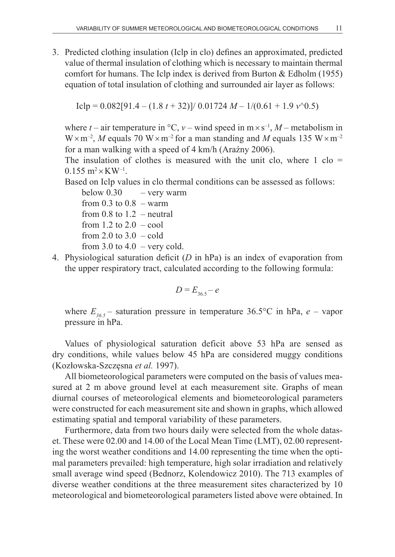3. Predicted clothing insulation (Iclp in clo) defines an approximated, predicted value of thermal insulation of clothing which is necessary to maintain thermal comfort for humans. The Iclp index is derived from Burton  $&$  Edholm (1955) equation of total insulation of clothing and surrounded air layer as follows:

 $I$ clp = 0.082[91.4 – (1.8 *t* + 32)]/ 0.01724 *M* – 1/(0.61 + 1.9 *v*^0.5)

where  $t$  – air temperature in  ${}^{\circ}C$ ,  $v$  – wind speed in m  $\times$  s<sup>-1</sup>, *M* – metabolism in  $W \times m^{-2}$ , *M* equals 70  $W \times m^{-2}$  for a man standing and *M* equals 135  $W \times m^{-2}$ for a man walking with a speed of 4 km/h (Araźny 2006).

The insulation of clothes is measured with the unit clo, where  $1$  clo =  $0.155$  m<sup>2</sup>×KW<sup>-1</sup>.

Based on Iclp values in clo thermal conditions can be assessed as follows:

below  $0.30 -$  very warm from  $0.3$  to  $0.8$  – warm from 0.8 to  $1.2$  – neutral from 1.2 to  $2.0 - \text{cool}$ from 2.0 to  $3.0 - \text{cold}$ from 3.0 to 4.0 – very cold.

4. Physiological saturation deficit (*D* in hPa) is an index of evaporation from the upper respiratory tract, calculated according to the following formula:

$$
D = E_{36.5} - e
$$

where  $E_{365}$  – saturation pressure in temperature 36.5°C in hPa,  $e$  – vapor pressure in hPa.

Values of physiological saturation deficit above 53 hPa are sensed as dry conditions, while values below 45 hPa are considered muggy conditions (Kozłowska-Szczęsna *et al.* 1997).

All biometeorological parameters were computed on the basis of values measured at 2 m above ground level at each measurement site. Graphs of mean diurnal courses of meteorological elements and biometeorological parameters were constructed for each measurement site and shown in graphs, which allowed estimating spatial and temporal variability of these parameters.

Furthermore, data from two hours daily were selected from the whole dataset. These were 02.00 and 14.00 of the Local Mean Time (LMT), 02.00 representing the worst weather conditions and 14.00 representing the time when the optimal parameters prevailed: high temperature, high solar irradiation and relatively small average wind speed (Bednorz, Kolendowicz 2010). The 713 examples of diverse weather conditions at the three measurement sites characterized by 10 meteorological and biometeorological parameters listed above were obtained. In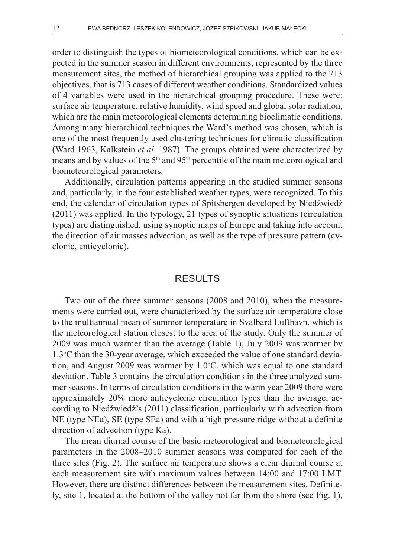order to distinguish the types of biometeorological conditions, which can be expected in the summer season in different environments, represented by the three measurement sites, the method of hierarchical grouping was applied to the 713 objectives, that is 713 cases of different weather conditions. Standardized values of 4 variables were used in the hierarchical grouping procedure. These were: surface air temperature, relative humidity, wind speed and global solar radiation, which are the main meteorological elements determining bioclimatic conditions. Among many hierarchical techniques the Ward's method was chosen, which is one of the most frequently used clustering techniques for climatic classification (Ward 1963, Kalkstein *et al*. 1987). The groups obtained were characterized by means and by values of the  $5<sup>th</sup>$  and  $95<sup>th</sup>$  percentile of the main meteorological and biometeorological parameters.

Additionally, circulation patterns appearing in the studied summer seasons and, particularly, in the four established weather types, were recognized. To this end, the calendar of circulation types of Spitsbergen developed by Niedźwiedź (2011) was applied. In the typology, 21 types of synoptic situations (circulation types) are distinguished, using synoptic maps of Europe and taking into account the direction of air masses advection, as well as the type of pressure pattern (cyclonic, anticyclonic).

#### **RESULTS**

Two out of the three summer seasons (2008 and 2010), when the measurements were carried out, were characterized by the surface air temperature close to the multiannual mean of summer temperature in Svalbard Lufthavn, which is the meteorological station closest to the area of the study. Only the summer of 2009 was much warmer than the average (Table 1), July 2009 was warmer by 1.3°C than the 30-year average, which exceeded the value of one standard deviation, and August 2009 was warmer by  $1.0\degree C$ , which was equal to one standard deviation. Table 3 contains the circulation conditions in the three analyzed summer seasons. In terms of circulation conditions in the warm year 2009 there were approximately 20% more anticyclonic circulation types than the average, according to Niedźwiedź's (2011) classification, particularly with advection from NE (type NEa), SE (type SEa) and with a high pressure ridge without a definite direction of advection (type Ka).

The mean diurnal course of the basic meteorological and biometeorological parameters in the 2008–2010 summer seasons was computed for each of the three sites (Fig. 2). The surface air temperature shows a clear diurnal course at each measurement site with maximum values between 14:00 and 17:00 LMT. However, there are distinct differences between the measurement sites. Definitely, site 1, located at the bottom of the valley not far from the shore (see Fig. 1),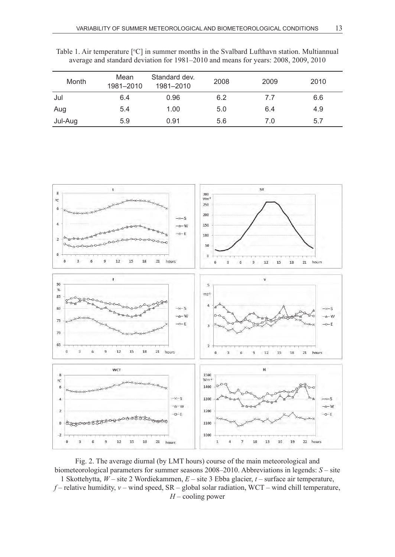| Table 1. Air temperature $\lceil \circ C \rceil$ in summer months in the Svalbard Lufthavn station. Multiannual |  |
|-----------------------------------------------------------------------------------------------------------------|--|
| average and standard deviation for 1981–2010 and means for years: 2008, 2009, 2010                              |  |

| Month   | Mean<br>1981-2010 | Standard dev.<br>1981-2010 | 2008 | 2009 | 2010 |
|---------|-------------------|----------------------------|------|------|------|
| Jul     | 6.4               | 0.96                       | 6.2  | 7.7  | 6.6  |
| Aug     | 5.4               | 1.00                       | 5.0  | 6.4  | 4.9  |
| Jul-Aug | 5.9               | 0.91                       | 5.6  | 7.0  | 5.7  |



Fig. 2. The average diurnal (by LMT hours) course of the main meteorological and biometeorological parameters for summer seasons 2008–2010. Abbreviations in legends: *S* – site 1 Skottehytta, *W* – site 2 Wordiekammen, *E* – site 3 Ebba glacier, *t* – surface air temperature,  $f$  – relative humidity,  $v$  – wind speed, SR – global solar radiation, WCT – wind chill temperature, *H* – cooling power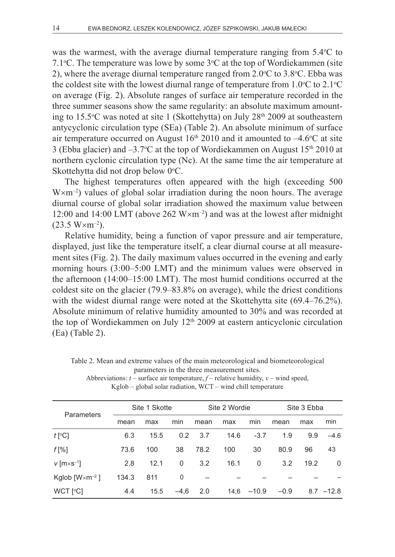was the warmest, with the average diurnal temperature ranging from  $5.4^{\circ}$ C to 7.1 °C. The temperature was lowe by some  $3$  °C at the top of Wordiekammen (site 2), where the average diurnal temperature ranged from  $2.0^{\circ}$ C to  $3.8^{\circ}$ C. Ebba was the coldest site with the lowest diurnal range of temperature from  $1.0^{\circ}$ C to  $2.1^{\circ}$ C on average (Fig. 2). Absolute ranges of surface air temperature recorded in the three summer seasons show the same regularity: an absolute maximum amounting to 15.5°C was noted at site 1 (Skottehytta) on July 28<sup>th</sup> 2009 at southeastern antycyclonic circulation type (SEa) (Table 2). An absolute minimum of surface air temperature occurred on August  $16<sup>th</sup> 2010$  and it amounted to  $-4.6$ °C at site 3 (Ebba glacier) and  $-3.7$ °C at the top of Wordiekammen on August 15<sup>th</sup> 2010 at northern cyclonic circulation type (Nc). At the same time the air temperature at Skottehytta did not drop below 0°C.

The highest temperatures often appeared with the high (exceeding 500  $W \times m^{-2}$ ) values of global solar irradiation during the noon hours. The average diurnal course of global solar irradiation showed the maximum value between 12:00 and 14:00 LMT (above 262  $W \times m^{-2}$ ) and was at the lowest after midnight  $(23.5 W \times m^{-2})$ .

Relative humidity, being a function of vapor pressure and air temperature, displayed, just like the temperature itself, a clear diurnal course at all measurement sites (Fig. 2). The daily maximum values occurred in the evening and early morning hours (3:00–5:00 LMT) and the minimum values were observed in the afternoon (14:00–15:00 LMT). The most humid conditions occurred at the coldest site on the glacier (79.9–83.8% on average), while the driest conditions with the widest diurnal range were noted at the Skottehytta site (69.4–76.2%). Absolute minimum of relative humidity amounted to 30% and was recorded at the top of Wordiekammen on July  $12<sup>th</sup> 2009$  at eastern anticyclonic circulation (Ea) (Table 2).

|                                       | Site 1 Skotte |      | Site 2 Wordie |      |      | Site 3 Ebba |        |      |              |
|---------------------------------------|---------------|------|---------------|------|------|-------------|--------|------|--------------|
| Parameters                            | mean          | max  | min           | mean | max  | min         | mean   | max  | min          |
| $t$ [°C]                              | 6.3           | 15.5 | 0.2           | 3.7  | 14.6 | $-3.7$      | 1.9    | 9.9  | $-4.6$       |
| $f[\%]$                               | 73.6          | 100  | 38            | 78.2 | 100  | 30          | 80.9   | 96   | 43           |
| $v$ [ $m \times s^{-1}$ ]             | 2.8           | 12.1 | 0             | 3.2  | 16.1 | 0           | 3.2    | 19.2 | 0            |
| Kglob $\lceil W \times m^{-2} \rceil$ | 134.3         | 811  | 0             |      |      |             |        |      |              |
| WCT [°C]                              | 4.4           | 15.5 | $-4.6$        | 2.0  | 14,6 | $-10.9$     | $-0.9$ |      | $8.7 - 12.8$ |

Table 2. Mean and extreme values of the main meteorological and biometeorological parameters in the three measurement sites.

Abbreviations:  $t$  – surface air temperature,  $f$  – relative humidity,  $v$  – wind speed, Kglob – global solar radiation, WCT – wind chill temperature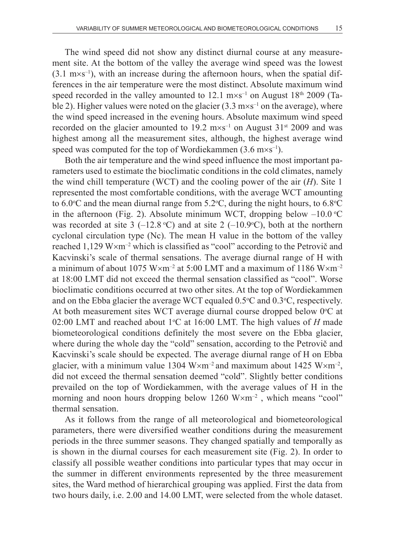The wind speed did not show any distinct diurnal course at any measurement site. At the bottom of the valley the average wind speed was the lowest  $(3.1 \text{ m} \times \text{s}^{-1})$ , with an increase during the afternoon hours, when the spatial differences in the air temperature were the most distinct. Absolute maximum wind speed recorded in the valley amounted to 12.1  $\text{m} \times \text{s}^{-1}$  on August 18<sup>th</sup> 2009 (Table 2). Higher values were noted on the glacier  $(3.3 \text{ m} \times \text{s}^{-1}$  on the average), where the wind speed increased in the evening hours. Absolute maximum wind speed recorded on the glacier amounted to 19.2  $\text{m} \times \text{s}^{-1}$  on August 31<sup>st</sup> 2009 and was highest among all the measurement sites, although, the highest average wind speed was computed for the top of Wordiekammen  $(3.6 \text{ m} \times \text{s}^{-1})$ .

Both the air temperature and the wind speed influence the most important parameters used to estimate the bioclimatic conditions in the cold climates, namely the wind chill temperature (WCT) and the cooling power of the air (*H*). Site 1 represented the most comfortable conditions, with the average WCT amounting to 6.0 °C and the mean diurnal range from  $5.2$  °C, during the night hours, to 6.8 °C in the afternoon (Fig. 2). Absolute minimum WCT, dropping below  $-10.0$  °C was recorded at site 3  $(-12.8 \text{ °C})$  and at site 2  $(-10.9 \text{ °C})$ , both at the northern cyclonal circulation type (Nc). The mean H value in the bottom of the valley reached 1,129 W $\times$ m<sup>-2</sup> which is classified as "cool" according to the Petrovič and Kacvinski's scale of thermal sensations. The average diurnal range of H with a minimum of about 1075 W $\times$ m<sup>-2</sup> at 5:00 LMT and a maximum of 1186 W $\times$ m<sup>-2</sup> at 18:00 LMT did not exceed the thermal sensation classified as "cool". Worse bioclimatic conditions occurred at two other sites. At the top of Wordiekammen and on the Ebba glacier the average WCT equaled  $0.5^{\circ}$ C and  $0.3^{\circ}$ C, respectively. At both measurement sites WCT average diurnal course dropped below  $0^{\circ}$ C at 02:00 LMT and reached about 1°C at 16:00 LMT. The high values of *H* made biometeorological conditions definitely the most severe on the Ebba glacier, where during the whole day the "cold" sensation, according to the Petrovič and Kacvinski's scale should be expected. The average diurnal range of H on Ebba glacier, with a minimum value 1304 W $\times$ m<sup>-2</sup> and maximum about 1425 W $\times$ m<sup>-2</sup>, did not exceed the thermal sensation deemed "cold". Slightly better conditions prevailed on the top of Wordiekammen, with the average values of H in the morning and noon hours dropping below 1260 W×m<sup>-2</sup>, which means "cool" thermal sensation.

As it follows from the range of all meteorological and biometeorological parameters, there were diversified weather conditions during the measurement periods in the three summer seasons. They changed spatially and temporally as is shown in the diurnal courses for each measurement site (Fig. 2). In order to classify all possible weather conditions into particular types that may occur in the summer in different environments represented by the three measurement sites, the Ward method of hierarchical grouping was applied. First the data from two hours daily, i.e. 2.00 and 14.00 LMT, were selected from the whole dataset.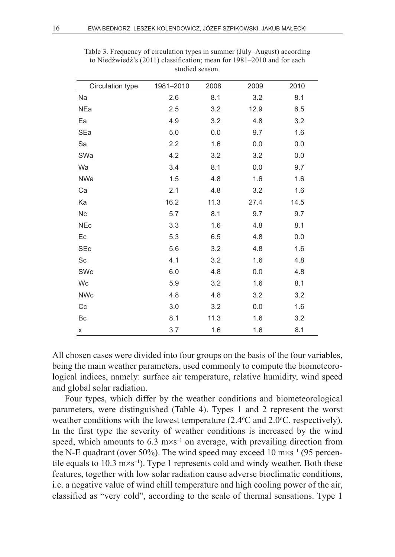| Circulation type | 1981-2010 | 2008 | 2009 | 2010 |
|------------------|-----------|------|------|------|
| Na               | 2.6       | 8.1  | 3.2  | 8.1  |
| NEa              | 2.5       | 3.2  | 12.9 | 6.5  |
| Ea               | 4.9       | 3.2  | 4.8  | 3.2  |
| SEa              | 5.0       | 0.0  | 9.7  | 1.6  |
| Sa               | 2.2       | 1.6  | 0.0  | 0.0  |
| SWa              | 4.2       | 3.2  | 3.2  | 0.0  |
| Wa               | 3.4       | 8.1  | 0.0  | 9.7  |
| NWa              | 1.5       | 4.8  | 1.6  | 1.6  |
| Ca               | 2.1       | 4.8  | 3.2  | 1.6  |
| Ka               | 16.2      | 11.3 | 27.4 | 14.5 |
| Nc               | 5.7       | 8.1  | 9.7  | 9.7  |
| <b>NEc</b>       | 3.3       | 1.6  | 4.8  | 8.1  |
| Ec               | 5.3       | 6.5  | 4.8  | 0.0  |
| <b>SEc</b>       | 5.6       | 3.2  | 4.8  | 1.6  |
| Sc               | 4.1       | 3.2  | 1.6  | 4.8  |
| SWc              | 6.0       | 4.8  | 0.0  | 4.8  |
| Wc               | 5.9       | 3.2  | 1.6  | 8.1  |
| <b>NWc</b>       | 4.8       | 4.8  | 3.2  | 3.2  |
| Cc               | 3.0       | 3.2  | 0.0  | 1.6  |
| Bc               | 8.1       | 11.3 | 1.6  | 3.2  |
| x                | 3.7       | 1.6  | 1.6  | 8.1  |

Table 3. Frequency of circulation types in summer (July–August) according to Niedźwiedź's (2011) classification; mean for 1981–2010 and for each studied season.

All chosen cases were divided into four groups on the basis of the four variables, being the main weather parameters, used commonly to compute the biometeorological indices, namely: surface air temperature, relative humidity, wind speed and global solar radiation.

Four types, which differ by the weather conditions and biometeorological parameters, were distinguished (Table 4). Types 1 and 2 represent the worst weather conditions with the lowest temperature  $(2.4^{\circ}C \text{ and } 2.0^{\circ}C)$ . respectively). In the first type the severity of weather conditions is increased by the wind speed, which amounts to  $6.3 \text{ m} \times \text{s}^{-1}$  on average, with prevailing direction from the N-E quadrant (over 50%). The wind speed may exceed 10  $\text{m} \times \text{s}^{-1}$  (95 percentile equals to  $10.3 \text{ m} \times \text{s}^{-1}$ ). Type 1 represents cold and windy weather. Both these features, together with low solar radiation cause adverse bioclimatic conditions, i.e. a negative value of wind chill temperature and high cooling power of the air, classified as "very cold", according to the scale of thermal sensations. Type 1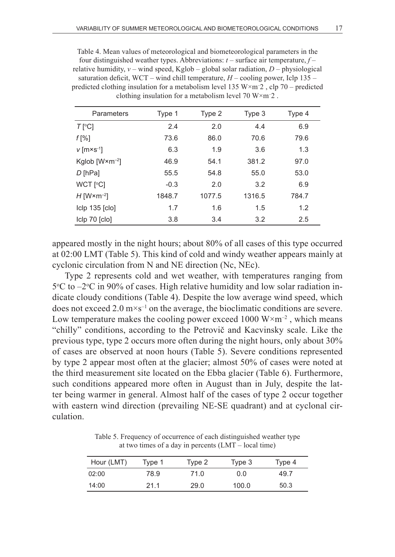Table 4. Mean values of meteorological and biometeorological parameters in the four distinguished weather types. Abbreviations: *t* – surface air temperature, *f* – relative humidity,  $v$  – wind speed, Kglob – global solar radiation,  $D$  – physiological saturation deficit, WCT – wind chill temperature,  $H$  – cooling power, Iclp 135 – predicted clothing insulation for a metabolism level 135 W×m– 2 , clp 70 – predicted clothing insulation for a metabolism level  $70 \text{ W} \times \text{m}$ <sup>-2</sup>.

| Parameters                            | Type 1 | Type 2 | Type 3 | Type 4 |
|---------------------------------------|--------|--------|--------|--------|
| $T$ [°C]                              | 2.4    | 2.0    | 4.4    | 6.9    |
| $f[\%]$                               | 73.6   | 86.0   | 70.6   | 79.6   |
| $v$ [m×s <sup>-1</sup> ]              | 6.3    | 1.9    | 3.6    | 1.3    |
| Kglob $\lceil W \times m^{-2} \rceil$ | 46.9   | 54.1   | 381.2  | 97.0   |
| $D$ [hPa]                             | 55.5   | 54.8   | 55.0   | 53.0   |
| WCT [°C]                              | $-0.3$ | 2.0    | 3.2    | 6.9    |
| $H$ [W $\times$ m <sup>-2</sup> ]     | 1848.7 | 1077.5 | 1316.5 | 784.7  |
| clp 135 clo                           | 1.7    | 1.6    | 1.5    | 1.2    |
| Iclp 70 [clo]                         | 3.8    | 3.4    | 3.2    | 2.5    |

appeared mostly in the night hours; about 80% of all cases of this type occurred at 02:00 LMT (Table 5). This kind of cold and windy weather appears mainly at cyclonic circulation from N and NE direction (Nc, NEc).

Type 2 represents cold and wet weather, with temperatures ranging from 5°C to –2°C in 90% of cases. High relative humidity and low solar radiation indicate cloudy conditions (Table 4). Despite the low average wind speed, which does not exceed  $2.0 \text{ m} \times \text{s}^{-1}$  on the average, the bioclimatic conditions are severe. Low temperature makes the cooling power exceed 1000  $W \times m^{-2}$ , which means "chilly" conditions, according to the Petrovič and Kacvinsky scale. Like the previous type, type 2 occurs more often during the night hours, only about 30% of cases are observed at noon hours (Table 5). Severe conditions represented by type 2 appear most often at the glacier; almost 50% of cases were noted at the third measurement site located on the Ebba glacier (Table 6). Furthermore, such conditions appeared more often in August than in July, despite the latter being warmer in general. Almost half of the cases of type 2 occur together with eastern wind direction (prevailing NE-SE quadrant) and at cyclonal circulation.

Table 5. Frequency of occurrence of each distinguished weather type at two times of a day in percents (LMT – local time)

| Hour (LMT) | Type 1 | Type 2 | Type 3 | Type 4 |
|------------|--------|--------|--------|--------|
| 02:00      | 78.9   | 71.0   | 0.0    | 49.7   |
| 14:00      | 21.1   | 29.0   | 100.0  | 50.3   |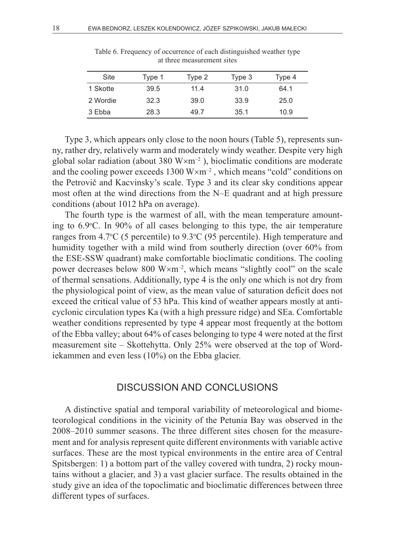| Site     | Type 1 | Type 2 | Type 3 | Type 4 |
|----------|--------|--------|--------|--------|
| 1 Skotte | 39.5   | 11.4   | 31.0   | 64.1   |
| 2 Wordie | 32.3   | 39.0   | 33.9   | 25.0   |
| 3 Ebba   | 28.3   | 49.7   | 35.1   | 10.9   |

Table 6. Frequency of occurrence of each distinguished weather type at three measurement sites

Type 3, which appears only close to the noon hours (Table 5), represents sunny, rather dry, relatively warm and moderately windy weather. Despite very high global solar radiation (about 380  $W \times m^{-2}$ ), bioclimatic conditions are moderate and the cooling power exceeds  $1300 \text{ W} \times \text{m}^{-2}$ , which means "cold" conditions on the Petrovič and Kacvinsky's scale. Type 3 and its clear sky conditions appear most often at the wind directions from the N–E quadrant and at high pressure conditions (about 1012 hPa on average).

The fourth type is the warmest of all, with the mean temperature amounting to 6.9°C. In 90% of all cases belonging to this type, the air temperature ranges from  $4.7^{\circ}$ C (5 percentile) to  $9.3^{\circ}$ C (95 percentile). High temperature and humidity together with a mild wind from southerly direction (over 60% from the ESE-SSW quadrant) make comfortable bioclimatic conditions. The cooling power decreases below 800  $W \times m^{-2}$ , which means "slightly cool" on the scale of thermal sensations. Additionally, type 4 is the only one which is not dry from the physiological point of view, as the mean value of saturation deficit does not exceed the critical value of 53 hPa. This kind of weather appears mostly at anticyclonic circulation types Ka (with a high pressure ridge) and SEa. Comfortable weather conditions represented by type 4 appear most frequently at the bottom of the Ebba valley; about 64% of cases belonging to type 4 were noted at the first measurement site – Skottehytta. Only 25% were observed at the top of Wordiekammen and even less (10%) on the Ebba glacier.

### DISCUSSION AND CONCLUSIONS

A distinctive spatial and temporal variability of meteorological and biometeorological conditions in the vicinity of the Petunia Bay was observed in the 2008–2010 summer seasons. The three different sites chosen for the measurement and for analysis represent quite different environments with variable active surfaces. These are the most typical environments in the entire area of Central Spitsbergen: 1) a bottom part of the valley covered with tundra, 2) rocky mountains without a glacier, and 3) a vast glacier surface. The results obtained in the study give an idea of the topoclimatic and bioclimatic differences between three different types of surfaces.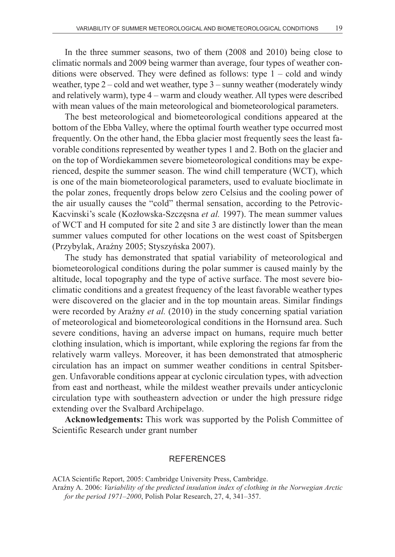In the three summer seasons, two of them (2008 and 2010) being close to climatic normals and 2009 being warmer than average, four types of weather conditions were observed. They were defined as follows: type  $1 - \text{cold}$  and windy weather, type 2 – cold and wet weather, type 3 – sunny weather (moderately windy and relatively warm), type 4 – warm and cloudy weather. All types were described with mean values of the main meteorological and biometeorological parameters.

The best meteorological and biometeorological conditions appeared at the bottom of the Ebba Valley, where the optimal fourth weather type occurred most frequently. On the other hand, the Ebba glacier most frequently sees the least favorable conditions represented by weather types 1 and 2. Both on the glacier and on the top of Wordiekammen severe biometeorological conditions may be experienced, despite the summer season. The wind chill temperature (WCT), which is one of the main biometeorological parameters, used to evaluate bioclimate in the polar zones, frequently drops below zero Celsius and the cooling power of the air usually causes the "cold" thermal sensation, according to the Petrovic-Kacvinski's scale (Kozłowska-Szczęsna *et al.* 1997). The mean summer values of WCT and H computed for site 2 and site 3 are distinctly lower than the mean summer values computed for other locations on the west coast of Spitsbergen (Przybylak, Araźny 2005; Styszyńska 2007).

The study has demonstrated that spatial variability of meteorological and biometeorological conditions during the polar summer is caused mainly by the altitude, local topography and the type of active surface. The most severe bioclimatic conditions and a greatest frequency of the least favorable weather types were discovered on the glacier and in the top mountain areas. Similar findings were recorded by Araźny *et al.* (2010) in the study concerning spatial variation of meteorological and biometeorological conditions in the Hornsund area. Such severe conditions, having an adverse impact on humans, require much better clothing insulation, which is important, while exploring the regions far from the relatively warm valleys. Moreover, it has been demonstrated that atmospheric circulation has an impact on summer weather conditions in central Spitsbergen. Unfavorable conditions appear at cyclonic circulation types, with advection from east and northeast, while the mildest weather prevails under anticyclonic circulation type with southeastern advection or under the high pressure ridge extending over the Svalbard Archipelago.

**Acknowledgements:** This work was supported by the Polish Committee of Scientific Research under grant number

#### **REFERENCES**

ACIA Scientific Report, 2005: Cambridge University Press, Cambridge. Araźny A. 2006: *Variability of the predicted insulation index of clothing in the Norwegian Arctic* 

*for the period 1971*–*2000*, Polish Polar Research, 27, 4, 341–357.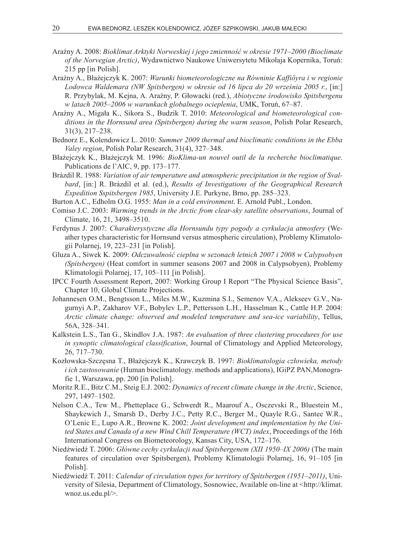- Araźny A. 2008: *Bioklimat Arktyki Norweskiej i jego zmienność w okresie 1971*–*2000 (Bioclimate of the Norvegian Arctic)*, Wydawnictwo Naukowe Uniwersytetu Mikołaja Kopernika, Toruń: 215 pp [in Polish].
- Araźny A., Błażejczyk K. 2007: *Warunki biometeorologiczne na Równinie Kaffiöyra i w regionie Lodowca Waldemara (NW Spitsbergen) w okresie od 16 lipca do 20 września 2005 r.*, [in:] R. Przybylak, M. Kejna, A. Araźny, P. Głowacki (red.), *Abiotyczne środowisko Spitsbergenu w latach 2005*–*2006 w warunkach globalnego ocieplenia*, UMK, Toruń, 67–87.
- Araźny A., Migała K., Sikora S., Budzik T. 2010: *Meteorological and biometeorological conditions in the Hornsund area (Spitsbergen) during the warm season*, Polish Polar Research, 31(3), 217–238.
- Bednorz E., Kolendowicz L. 2010: *Summer 2009 thermal and bioclimatic conditions in the Ebba Valey region*, Polish Polar Research, 31(4), 327–348.
- Błażejczyk K., Błażejczyk M. 1996: *BioKlima-un nouvel outil de la recherche bioclimatique*. Publications de l'AIC, 9, pp. 173–177.
- Brázdil R. 1988: *Variation of air temperature and atmospheric precipitation in the region of Svalbard*, [in:] R. Brázdil et al. (ed.), *Results of Investigations of the Geographical Research Expedition Sspitsbergen 1985*, University J.E. Purkyne, Brno, pp. 285–323.
- Burton A.C., Edholm O.G. 1955: *Man in a cold environment*. E. Arnold Publ., London.
- Comiso J.C. 2003: *Warming trends in the Arctic from clear-sky satellite observations*, Journal of Climate, 16, 21, 3498–3510.
- Ferdynus J. 2007: *Charakterystyczne dla Hornsundu typy pogody a cyrkulacja atmosfery* (Weather types characteristic for Hornsund versus atmospheric circulation), Problemy Klimatologii Polarnej, 19, 223–231 [in Polish].
- Gluza A., Siwek K. 2009: *Odczuwalność cieplna w sezonach letnich 2007 i 2008 w Calypsobyen (Spitsbergen)* (Heat comfort in summer seasons 2007 and 2008 in Calypsobyen), Problemy Klimatologii Polarnej, 17, 105–111 [in Polish].
- IPCC Fourth Assessment Report, 2007: Working Group I Report "The Physical Science Basis", Chapter 10, Global Climate Projections.
- Johannesen O.M., Bengtsson L., Miles M.W., Kuzmina S.I., Semenov V.A., Alekseev G.V., Nagurnyi A.P., Zakharov V.F., Bobylev L.P., Pettersson L.H., Hasselman K., Cattle H.P. 2004: *Arctic climate change: observed and modeled temperature and sea-ice variability*, Tellus, 56A, 328–341.
- Kalkstein L.S., Tan G., Skindlov J.A. 1987: *An evaluation of three clustering procedures for use in synoptic climatological classification*, Journal of Climatology and Applied Meteorology, 26, 717–730.
- Kozłowska-Szczęsna T., Błażejczyk K., Krawczyk B. 1997: *Bioklimatologia człowieka, metody i ich zastosowanie* (Human bioclimatology. methods and applications), IGiPZ PAN,Monografie 1, Warszawa, pp. 200 [in Polish].
- Moritz R.E., Bitz C.M., Steig E.J. 2002: *Dynamics of recent climate change in the Arctic*, Science, 297, 1497–1502.
- Nelson C.A., Tew M., Phetteplace G., Schwerdt R., Maarouf A., Osczevski R., Bluestein M., Shaykewich J., Smarsh D., Derby J.C., Petty R.C., Berger M., Quayle R.G., Santee W.R., O'Lenic E., Lupo A.R., Browne K. 2002: *Joint development and implementation by the United States and Canada of a new Wind Chill Temperature (WCT) index*, Proceedings of the 16th International Congress on Biometeorology, Kansas City, USA, 172–176.
- Niedźwiedź T. 2006: *Główne cechy cyrkulacji nad Spitsbergenem (XII 1950–IX 2006)* (The main features of circulation over Spitsbergen), Problemy Klimatologii Polarnej, 16, 91–105 [in Polish].
- Niedźwiedź T. 2011: *Calendar of circulation types for territory of Spitsbergen (1951*–*2011)*, University of Silesia, Department of Climatology, Sosnowiec, Available on-line at <http://klimat. wnoz.us.edu.pl/>.